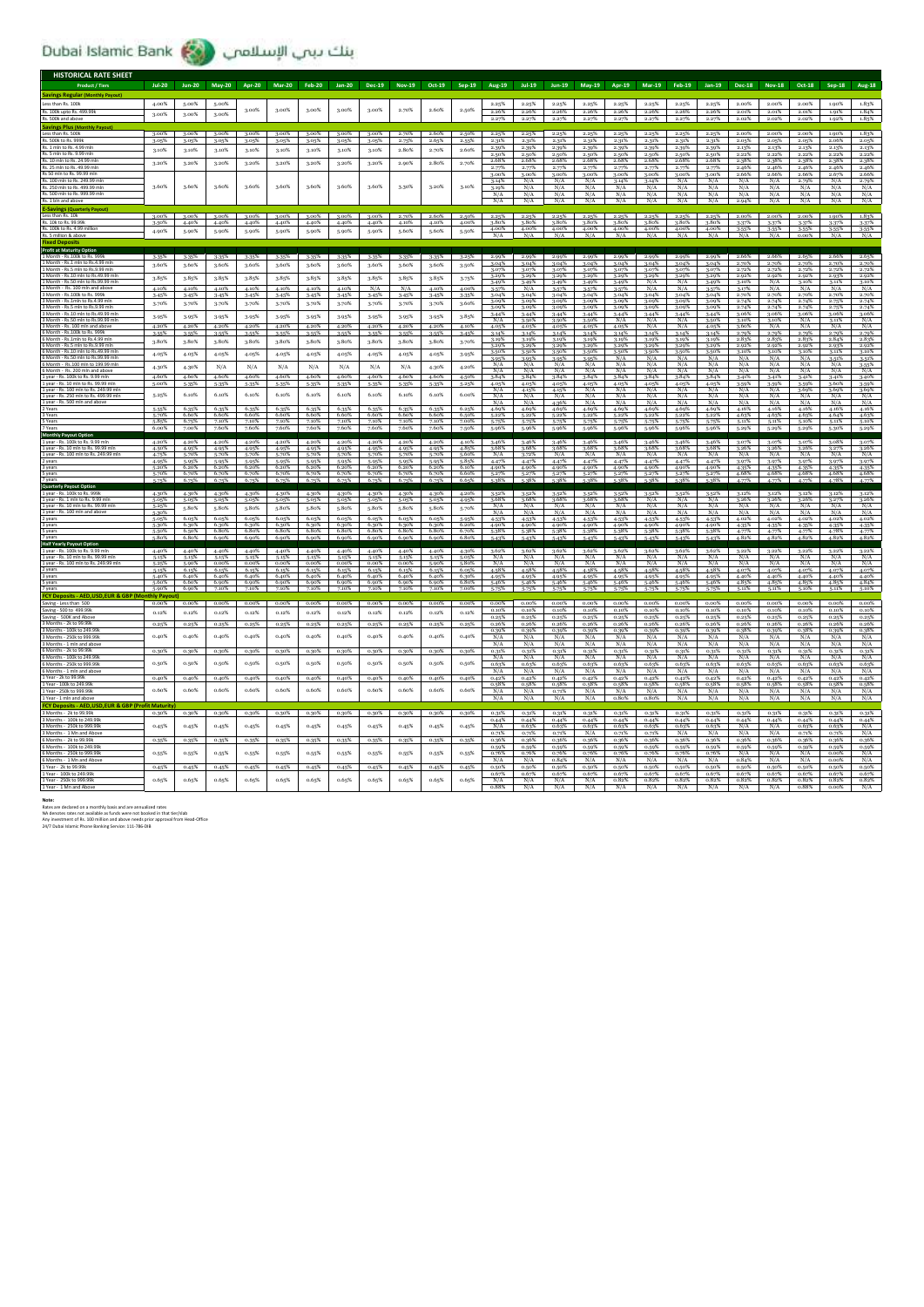بنك بيب الإسلامي (Dubai Islamic Bank

| <b>HISTORICAL RATE SHEET</b>                                                                                                                                     |                     |                |                |                |                |                |                            |                |                |                |                |                              |                       |                       |                         |                          |                         |                                 |                             |                             |                             |                             |                         |                                  |
|------------------------------------------------------------------------------------------------------------------------------------------------------------------|---------------------|----------------|----------------|----------------|----------------|----------------|----------------------------|----------------|----------------|----------------|----------------|------------------------------|-----------------------|-----------------------|-------------------------|--------------------------|-------------------------|---------------------------------|-----------------------------|-----------------------------|-----------------------------|-----------------------------|-------------------------|----------------------------------|
| <b>Product / Tiers</b>                                                                                                                                           | $Jul-20$            | <b>Jun-20</b>  | May-20         | <b>Apr-20</b>  | <b>Mar-20</b>  | <b>Feb-20</b>  | <b>Jan-20</b>              | Dec-19         | Nov-19         | Oct-19         | Sep-19         | Aug-19                       | $Jul-19$              | $Jun-19$              | May-19                  | Apr-19                   | $Mar-19$                | Feb-19                          | Jan-19                      | <b>Dec-18</b>               | <b>Nov-18</b>               | Oct-18                      | $Sep-18$                | <b>Aug-18</b>                    |
| <b>Savings Regular</b> (                                                                                                                                         |                     |                |                |                |                |                |                            |                |                |                |                |                              |                       |                       |                         |                          |                         |                                 |                             |                             |                             |                             |                         |                                  |
| Less than Rs. 100k                                                                                                                                               | 4.00%               | 5.00%          | 5.00%          | 3.00%          | 3.00%          | 3.00%          | 3.00%                      | 3.00%          | 2.70%          | 2.60%          | 2.50%          | 2.25%                        | 2.25%                 | 2.25%                 | 2.25%                   | 2.25%                    | 2.25%                   | 2.25%                           | 2.25%                       | 2.00%                       | 2.00%                       | 2.00%                       | 1.90%                   | 1.83%                            |
| Rs. 100k upto Rs. 499.99k<br>Rs 500k                                                                                                                             | 3.00%               | 3.00%          | 3.00%          |                |                |                |                            |                |                |                |                | 2.26%                        | 2.26%                 | 2.26%<br>2.279        | 2.26%                   | 2.26%                    | 2.26%                   | 2.26%                           | 2.26%                       | 2.01%<br>2.02%              | 2.01%<br>2.02%              | 2.01%<br>2.02%              | 1.91%<br>1.92%          | 1.84%<br>1.85%                   |
| <b>Savings Plus (M</b>                                                                                                                                           |                     |                |                |                |                |                |                            |                |                |                |                |                              |                       |                       |                         |                          |                         |                                 |                             |                             |                             |                             |                         |                                  |
| Less than Rs. 500<br>Rs. 500k to Rs. 999k                                                                                                                        | 3.00%<br>3.05%      | 3.00%<br>3.05% | 3.00%<br>3.05% | 3.00%<br>3.05% | 3.00%<br>3.05% | 3.00%<br>3.05% | 3.00%<br>3.05%             | 3.00%<br>3.05% | 2.70%<br>2.75% | 2.60%<br>2.65% | 2.50%<br>2.55% | 2.25%<br>2.31%               | 2.25%<br>2.31%        | 2.25%<br>2.31%        | 2.25%<br>2.31%          | 2.25%<br>2.31%           | 2.25%<br>2.31%          | 2.25%<br>2.31%                  | 2.25%<br>2.31%              | 2.00%<br>2.05%              | 2.00%<br>2.05%              | 2.00%<br>2.05%              | 1.90%<br>2.06%          | 1.83%<br>2.05%                   |
| Rs. 1 mln to Rs. 4.99 mln                                                                                                                                        | 3.10%               | 3.10%          | 3.10%          | 3.10%          | 3.10%          | 3.10%          | 3.10%                      | 3.10%          | 2.80%          | 2.70%          | 2.60%          | 2.39%                        | 2.39%                 | 2.39%                 | 2.39%                   | 2.39%                    | 2.39%                   | 2.39%                           | 2.39%                       | 2.13%                       | 2.13%                       | 2.13%                       | 2.13%                   | 2.13%                            |
| Rs. 5 mln to Rs. 9.99 mln<br>Rs. 10 mln to Rs. 24.99 ml                                                                                                          |                     |                |                |                |                |                |                            |                |                |                |                | 2.50%<br>2.68%               | 2.50%<br>2.68%        | 2.50%<br>2.68%        | 2.50%<br>2.68%          | 2.50%<br>2.68%           | 2.50%<br>2.68%          | 2.50%<br>2.68%                  | 2.50%<br>2.68%              | 2.22%<br>2.38%              | 2.22%<br>2.38%              | 2.22%<br>2.38%              | 2.22%<br>2.38%          | 2.22%<br>2.38%                   |
| Rs. 25 mln to Rs. 49.99 ml                                                                                                                                       | 3.20%               | 3.20%          | 3.20%          | 3.20%          | 3.20%          | 3.20%          | 3.20%                      | 3.20%          | 2.90%          | 2.80%          | 2.70%          | 2.77%                        | 2.77%                 | 2.77%                 | 2.77%                   | 2.77%                    | 2.77%                   | 2.77%                           | 2.77%                       | 2.46%                       | 2.46%                       | 2.46%                       | 2.46%                   | 2.46%                            |
| Rs 50 mln to Rs, 99.99 mln<br>Rs. 100 mln to Rs. 249.99 mln                                                                                                      |                     |                |                |                |                |                |                            |                |                |                |                | 3.00%<br>3.14%               | 3.00%<br>N/A          | 3.00%<br>N/A          | 3.00%<br>N/A            | 3.00%<br>3.14%           | 3.00%<br>3.14%          | 3.00%<br>N/A                    | 3.00%<br>N/A                | 2.66%<br>N/A                | 2.66%<br>N/A                | 2.66%<br>2.70%              | 2.67%<br>N/A            | 2.66%<br>2.79%                   |
| Rs. 250 mln to Rs. 499.99 ml                                                                                                                                     | 3.60%               | 3.60%          | 3.60%          | 3.60%          | 3.60%          | 3.60%          | 3.60%                      | 3.60%          | 3.30%          | 3.20%          | 3.10%          | 3.19%                        | N/A                   | N/A                   | N/A                     | N/A                      | N/A                     | N/A                             | N/A                         | N/A                         | N/A                         | N/A                         | N/A                     | N/A                              |
| Rs. 500 mln to Rs. 999.99<br>Rs. 1 bin and a                                                                                                                     |                     |                |                |                |                |                |                            |                |                |                |                | N/A<br>N/A                   | N/A<br>N/A            | N/A<br>N/A            | N/A<br>N/A              | N/A<br>N/A               | N/A<br>N/A              | N/A<br>N/A                      | N/A<br>N/A                  | N/A<br>2.94%                | N/A<br>N/A                  | N/A<br>N/A                  | N/A<br>N/A              | N/A<br>N/A                       |
| <b>E-Savings (Quarterly</b>                                                                                                                                      |                     |                |                |                |                |                |                            |                |                |                |                |                              |                       |                       |                         |                          |                         |                                 |                             |                             |                             |                             |                         |                                  |
| Less than Rs. 10                                                                                                                                                 | 3.00%               | 3.00%          | 3.00%          | 3.00%          | 3.00%          | 3.00%          | 3.00%                      | 3.00%          | 2.70%          | 2.60%          | 2.50%          | 2.25%                        | 2.25%                 | 2.25%                 | 2.25%                   | 2.25%                    | 2.25%                   | 2.25%                           | 2.25%                       | 2.00%                       | 2.00%                       | 2.00%                       | 1.90%                   | 1.83%                            |
| Rs. 10k to Rs. 99.99k<br>Rs. 100k to Rs. 4.99 milli                                                                                                              | 3.50%<br>4.90%      | 4.40%<br>5.90% | 4.40%<br>5.90% | 4.40%<br>5.90% | 4.40%<br>5.90% | 4.40%<br>5.90% | 4.40%<br>5.90%             | 4.40%<br>5.90% | 4.10%<br>5.60% | 4.10%<br>5.60% | 4.00%<br>5.50% | 3.80%<br>4.00%               | 3.80%<br>4.00%        | 3.80%<br>4.00%        | 3.80%<br>4.00%          | 4.00%                    | 3.80% 3.80%<br>4.00%    | 3.80%<br>4.00%                  | 3.80%<br>4.00%              | 3-37%<br>3.55%              | 3-37%<br>3.55%              | 3.37%<br>3.55%              | 3.37%<br>3-55%          | 3.37%<br>3-55%                   |
| Rs. 5 million & aboy                                                                                                                                             |                     |                |                |                |                |                |                            |                |                |                |                | N/A                          | N/A                   | N/A                   | N/A                     | N/A                      | N/A                     | N/A                             | N/A                         | N/A                         | N/A                         | 0.00%                       | N/A                     | N/A                              |
| <b>Profit at Maturity Option</b>                                                                                                                                 |                     |                |                |                |                |                |                            |                |                |                |                |                              |                       |                       |                         |                          |                         |                                 |                             |                             |                             |                             |                         |                                  |
| Month - Rs.100k to Rs. 9991                                                                                                                                      |                     |                | 3.35%          | 3-35%          | 3-35%          | 3-35%          |                            | 3-35%          |                |                |                | 2.99%                        | 2.99%                 | 2.99%                 |                         | 2.99%                    |                         | 2.99%                           | 2.99%                       | 2.66%                       | 2.66%                       |                             | 2.66%                   |                                  |
| 1 Month - Rs.1 mln to Rs.4.99 mln<br>Month - Rs.5 mln to Rs.9.99 mln                                                                                             | 3.60%               | 3.60%          | 3.60%          | 3.60%          | 3.60%          | 3.60%          | 3.60%                      | 3.60%          | 3.60%          | 3.60%          | 3.50%          | 3.04%<br>3.07%               | 3.04%<br>3.07%        | 3.04%<br>3.07%        | 3.04%<br>3.07%          | 3.04%<br>3.07%           | 3.04%<br>3.07%          | 3.04%<br>3.07%                  | 3.04%<br>3.07%              | 2.70%<br>2.72%              | 2.70%<br>2.72%              | 2.70%<br>2.72%              | 2.70%<br>2.72%          | 2.70%<br>2.72%                   |
| Month - Rs.10 mln to Rs.49.99 m                                                                                                                                  | 3.85%               | 3.85%          | 3.85%          | 3-85%          | 3.85%          | 3.85%          | 3.85%                      | 3.85%          | 3.85%          | 3-85%          | 3.75%          | 3.29%                        | 3.29%                 | 3.29%                 | 3.29%                   | 3.29%                    | 3.29%                   | 3.29%                           | 3.29%                       | 2.92%                       | 2.92%                       | 2.92%                       | 2.93%                   | 2.92%                            |
| Month - Rs.50 mln to Rs.99.99 r<br>1 Month - Rs 100 mln                                                                                                          | 4.10%               | 4.10%          | 4.10%          | 4.10%          | 4.10%          | 4.10%          | 4.10%                      | N/A            | N/A            | 4.10%          | 4.00%          | 3.49%<br>3.57%               | 3.49%<br>N/A          | 3.49%<br>3-57%        | 3.49%<br>3.57%          | 3.49%<br>3.57%           | N/A<br>N/A              | N/A<br>N/A                      | 3.49%<br>3.57%              | 3.10%<br>3.17%              | N/A<br>N/A                  | 3.10%<br>N/A                | 3.11%<br>N/A            | 3.10%<br>N/A                     |
| 3 Month - Rs.100k to Rs. 999                                                                                                                                     | 3.45%               | 3-45%          | 3.45%          | 3.45%          | 3.45%          | 3-45%          | 3.45%                      | 3.45%          | 3.45%          | 3.45%          | 3-35%          | 3.04%                        | 3.04%                 | 3.04%                 | 3.04%                   | 3.04%                    | 3.04%                   | 3.04%                           | 3.04%                       | 2.70%                       | 2.70%                       | 2.70%                       | 2.70%                   | 2.70%                            |
| 3 Month - Rs.1mln to Rs.4.99 r<br>3 Month - Rs.5 mln to Rs.9.99 m                                                                                                | 3.70%               | 3.70%          | 3.70%          | 3.70%          | 3.70%          | 3-70%          | 3.70%                      | 3.70%          | 3.70%          | 3.70%          | 3.60%          | 3.09%<br>3.09%               | 3.09%<br>3.09%        | 3.09%<br>3.09%        | 3.09%<br>3.09%          | 3.09%<br>3.09%           | 3.09%<br>3.09%          | 3.09%<br>3.09%                  | 3.09%<br>3.09%              | 2.74%<br>2.74%              | 2.74%<br>2.74%              | 2.74%<br>2.74%              | 2.75%<br>2.75%          | 2.74%                            |
| 3 Month - Rs.10 mln to Rs.49.99 mln<br>Month - Rs.50 mln to Rs.99.99 ml                                                                                          | 3-95%               | 3.95%          | 3.95%          | 3.95%          | 3.95%          | 3.95%          | 3.95%                      | 3.95%          | 3.95%          | 3.95%          | 3.85%          | $\frac{3.44\%}{N/A}$         | 3.44%<br>3.50%        | 3.44%<br>3.50%        | 3.44%<br>3.50%          | 3-44%<br>N/A             | 3.44%<br>N/A            | 3.44%<br>N/A                    | 3.44%<br>3.50%              | 3.06%<br>3.10%              | 3.06%<br>3.10%              | 3.06%<br>N/A                | 3.06%<br>3.11%          | 3.06%                            |
| 3 Month - Rs. 100 mln and aboy                                                                                                                                   | 4.20%               | 4.20%          | 4.20%          | 4.20%          | 4.20%          | 4.20%          | 4.20%                      | 4.20%          | 4.20%          | 4.20%          | 4.10%          | 4.05%                        | 4.05%                 | 4.05%                 | 4.05%                   | 4.05%                    | N/A                     | N/A                             | 4.05%                       | 3.60%                       | N/A                         | N/A                         | N/A                     | $\frac{N/A}{N/A}$                |
| 6 Month - Rs.100k to Rs. 999k<br>6 Month - Rs.1mln to Rs.4.99                                                                                                    | 3.55%               | 3.55%          | 3.55%          | 3.55%          | 3-55%          | 3-55%          | 3-55%                      | 3.55%          | 3.55%          | 3.55%          | 3-45%          | 3.14%<br>3.19%               | 3.14%<br>3.19%        | 3.14%<br>3.19%        | 3.14%<br>3.19%          | 3.14%<br>3.19%           | 3.14%<br>3.19%          | 3.14%<br>3.19%                  | 3.14%<br>3.19%              | 2.70%<br>2.83%              | 2.79%<br>2.83%              | 2.70%<br>2.83%              | 2.79%<br>2.84%          | 2.79%<br>2.83%                   |
| 6 Month - Rs.5 mln to Rs.9.99 mln                                                                                                                                | 3.80%               | 3-80%          | 3.80%          | 3.80%          | 3.80%          | 3.80%          | 3.80%                      | 3.80%          | 3.80%          | 3.80%          | 3.70%          | 3.29%                        | 3.29%                 | 3.29%                 | 3.29%                   | 3.29%                    | 3.29%                   | 3.29%                           | 3.29%                       | 2.92%                       | 2.92%                       | 2.92%                       | 2.93%                   | 2.92%                            |
| 6 Month - Rs.10 mln to Rs.49.99 m<br>6 Month - Rs.50 mln to Rs.99.99 ml                                                                                          | 4.05%               | 4.05%          | 4.05%          | 4.05%          | 4.05%          | 4.05%          | 4.05%                      | 4.05%          | 4.05%          | 4.05%          | 3.95%          | 3.50%                        | 3.50%<br>3.95%        | 3.50%<br>3.95%        | 3.50%<br>$3.95^{\circ}$ | 3-50%<br>N/A             | 3-50%<br>N/A            | 3.50%<br>N/A                    | 3.50%<br>N/A                | 3.10%<br>N/A                | 3.10%<br>N/A                | 3.10%<br>N/A                | 3.11%<br>3-51%          | 3.10%<br>3.51%                   |
| 6 Month - Rs.100 mln to 199.99 ml                                                                                                                                | 4.30%               | 4.30%          | N/A            | N/A            | N/A            | N/A            | N/A                        | N/A            | N/A            | 4.30%          | 4.20%          | N/A                          | N/A                   | N/A                   | N/A                     | N/A                      | N/A                     | N/A                             | N/A                         | N/A                         | N/A                         | N/A                         | N/A                     | $\frac{3.55\%}{N/A}$             |
| 6 Month - Rs. 200 mln and above<br>1 year - Rs. 100k to Rs. 9.99 r                                                                                               | 4.60%               | 4.60%          | 4.60%          | 4.60%          | 4.60%          | 4.60%          | 4.60%                      | 4.60%          | 4.60%          | 4.60%          | 4.50%          | N/A<br>3.84%                 | N/A<br>3.84%          | N/A<br>3.84%          | N/A<br>3.84%            | N/A<br>3-84%             | N/A<br>3-84%            | N/A<br>3.84%                    | N/A<br>3.84%                | N/A<br>3-41%                | N/A<br>3.41%                | N/A<br>3.41%                | N/A<br>3.41%            | 3.40%                            |
| 1 year - Rs. 10 mln to Rs. 99.99 ml<br>1 year - Rs. 100 mln to Rs. 249.99                                                                                        | 5.00%               | 5.35%          | 5.35%          | 5.35%          | 5.35%          | 5.35%          | 5.35%                      | 5.35%          | 5.35%          | 5.35%          | 5.25%          | 4.05%                        | 4.05%                 | 4.05%                 | 4.05%<br>N/A            | 4.05%                    | 4.05%<br>N/A            | 4.05%<br>N/A                    | 4.05%                       | 3.59%                       | 3.59%                       | 3.59%                       | 3.60%                   | 3.59%                            |
| 1 year - Rs. 250 mln to Rs. 499.99 mln                                                                                                                           | 5.25%               | 6.10%          | 6.10%          | 6.10%          | 6.10%          | 6.10%          | 6.10%                      | 6.10%          | 6.10%          | 6.10%          | 6.00%          | N/A<br>N/A                   | 4.15%<br>N/A          | 4.15%<br>N/A          | N/A                     | N/A<br>N/A               | N/A                     | N/A                             | N/A<br>N/A                  | N/A<br>N/A                  | N/A<br>N/A                  | 3.69%<br>N/A                | 3.69%<br>N/A            | 3.69%<br>N/A                     |
| 1 year - Rs. 500 mln and abo<br>2 Years                                                                                                                          | 5.55%               | 6.35%          | 6.35%          | 6.35%          | 6.35%          | 6.35%          | 6.35%                      | 6.35%          | 6.35%          | 6.35%          | 6.25%          | N/A<br>4.69%                 | N/A<br>4.69%          | 4.36%<br>4.69%        | N/A<br>4.699            | N/A<br>4.69%             | N/A<br>4.69%            | N/A<br>4.69%                    | N/A<br>4.69%                | N/A<br>4.16%                | N/A<br>4.16%                | N/A<br>4.16%                | N/A<br>4.16%            | N/A<br>4.16%                     |
| 3 Years                                                                                                                                                          | 5.70%               | 6.60%          | 6.60%          | 6.60%          | 6.60%          | 6.60%          | 6.60%                      | 6.60%          | 6.60%          | 6.60%          | 6.50%          | 5.22%                        | 5.22%                 | 5.22%                 | 5.22%                   | 5.22%                    | 5.22%                   | 5.22%                           | 5.22%                       | 4.63%                       | 4.63%                       | 4.63%                       | 4.64%                   | 4.63%                            |
| S Years<br>7 Year                                                                                                                                                | 5.85%<br>6.00%      | 6.75%<br>7.00% | 7.10%<br>7,60% | 7.10%<br>7.60% | 7.10%<br>7.60% | 7.10%<br>7.60% | 7.10%<br>7.60 <sup>%</sup> | 7.10%<br>7.60% | 7.10%<br>7.60% | 7.10%<br>7.60% | 7.00%<br>7.50% | 5.75%                        | 5-75%                 | 5-75%<br>5.96%        | 5.75%<br>5.96%          | 5.75%<br>5.96%           | 5.75%<br>5.96%          | 5.75%<br>5.96%                  | 5-75%<br>5.96%              | 5.11%<br>5.29%              | 5.11%<br>5.29%              | 5.10%<br>5.29%              | 5.11%<br>5-30%          | 5.10%<br>5.29%                   |
| Monthly Payo                                                                                                                                                     |                     |                |                |                |                |                |                            |                |                |                |                |                              |                       |                       |                         |                          |                         |                                 |                             |                             |                             |                             |                         |                                  |
| 1 year - Rs. 100k to Rs. 9.99<br>1 year - Rs. 10 mln to Rs. 99.99 mln                                                                                            | 4.20%<br>4.50%      | 4.20%<br>4.95% | 4.20%<br>4.95% | 4.20%<br>4.95% | 4.20%<br>4.95% | 4.20%<br>4.95% | 4.20%<br>4.95%             | 4.20%<br>4.95% | 4.20%<br>4.95% | 4.20%<br>4.95% | 4.10%<br>4.85% | 3.46%<br>3.68%               | 3.46%<br>3.68%        | 3.46%<br>3.68%        | 3.46%<br>3.68%          | 3.46%<br>3.68%           | 3.46%<br>3.68%          | 3.46%<br>3.68%                  | 3.46%<br>3.68%              | 3.07%<br>3.26%              | 3.07%<br>3.26%              | 3.07%<br>3.26%              | 3.08%<br>3.27%          | 3.07%<br>3.26%                   |
| 1 year - Rs. 100 mln to Rs. 249.99 mln                                                                                                                           |                     | 5.70%          | 5.70%          | 5.70%          | 5.70%          | 5-70%          | 5.70%                      | 5.70%          | 5.70%          | 5.70%          | 5.60%          | N/A                          | 3.72%                 | N/A                   | N/A                     | N/A                      | N/A                     | N/A                             | N/A                         | N/A                         | N/A                         | N/A                         | N/A                     | N/A                              |
| 2 years<br>3 years                                                                                                                                               | 4.95%<br>5.20%      | 5.95%<br>6.20% | 5.95%<br>6.20% | 5.95%<br>6.20% | 5.95%<br>6.20% | 5-95%<br>6.20% | 5.95%<br>6.20%             | 5.95%<br>6.20% | 5.95%<br>6.20% | 5.95%<br>6.20% | 5.85%<br>6.10% | 4.47%<br>4.90%               | 4.47%<br>4.90%        | 4.47%<br>4.90%        | 4.47%<br>4.90%          | 4.47%<br>4.90%           | 4.47%<br>4.90%          | 4.47%<br>4.90%                  | 4.47%<br>4.90%              | 3.97%<br>4.35%              | 3.97%<br>4.35%              | 3.97%<br>4.35%              | 3.97%<br>4.35%          | 3-97%<br>4.35%                   |
| 5 years                                                                                                                                                          | 5.70%               | 6.70%          | 6.70%          | 6.70%          | 6.70%          | 6.70%          | 6.70%                      | 6.70%          | 6.70%          | 6.70%          | 6.60%          | 5.27%                        | 5.27%                 | 5.27%                 | 5.27%                   | 5.27%                    | 5.27%                   | 5.27%                           | 5.27%                       | 4.68%                       | 4.68%                       | 4.68%                       | 4.68%                   | 4.68%                            |
| 7 years<br><b>Quarterly Payout Option</b>                                                                                                                        | 5.75%               | 6.75%          | 6.75%          | 6.75%          |                |                |                            |                |                |                | 6.65%          | 5.28%                        |                       |                       |                         |                          | 5.28%                   |                                 |                             |                             |                             |                             | A.78%                   | 4.77%                            |
| 1 year - Rs. 100k to Rs. 999                                                                                                                                     | 4.30%               | 4.30%          | 4.30%          | 4.30%          | 4.30%          | 4.30%          | 4.30%                      | 4.30%          | 4.30%          | 4.30%          | 4.20%          | 3-52%<br>3.68%               | 3-52%                 | 3.52%<br>3.68%        | 3.52%<br>3.68%          | 3.52%<br>2.68%           | 3.52%<br>N/A            | 3.52%<br>N/A                    | 3.52%<br>N/A                | 3-12%<br>3.26%              | 3.12%<br>3.26%              | 3.12%<br>3.26%              | 3.12%                   | 3.12%                            |
| 1 year - Rs. 1 mln to Rs. 9.99 mln<br>1 year - Rs. 10 mln to Rs. 99.99 mln                                                                                       | 5.05%<br>5.25%      | 5.05%<br>5.80% | 5.05%<br>5.80% | 5.05%<br>5.80% | 5.05%<br>5.80% | 5.05%<br>5.80% | 5.05%<br>5.80%             | 5.05%<br>5.80% | 5.05%<br>5.80% | 5.05%<br>5.80% | 4.95%          |                              |                       |                       |                         |                          |                         | N/A                             |                             |                             |                             |                             | $\frac{3.27\%}{N/A}$    | 3.26%<br>N/A                     |
| 1 year - Rs. 100 mln and above<br>2 years                                                                                                                        | 5.30%<br>5.05%      |                |                |                |                |                |                            |                |                |                |                | N/A                          | 3.68%                 | N/A                   |                         |                          | N/A                     |                                 |                             | N/A                         |                             | N/A                         |                         | N/A<br>4.02%                     |
| 3 years                                                                                                                                                          | 5.30%               |                |                |                |                |                |                            |                |                |                | 5.70%          | N/A                          | N/A<br>N/A            | N/A                   | N/A<br>N/A              | N/A<br>N/A               | N/A                     | N/A                             | N/A<br>N/A                  | N/A                         | N/A<br>N/A                  | N/A                         | N/A                     |                                  |
| S years                                                                                                                                                          |                     | 6.05%<br>6.30% | 6.05%<br>6.30% | 6.05%<br>6.30% | 6.05%<br>6.30% | 6.05%<br>6.30% | 6.05%<br>6.30%             | 6.05%<br>6.30% | 6.05%<br>6.30% | 6.05%<br>6.30% | 5.95%<br>6.20% | 4.53%<br>4.90%               | 4.53%<br>4.90%        | 4.53%<br>4.90%        | 4.53%<br>4.90%          | 4.53%<br>4.90%           | 4.53%<br>4.90%          | 4.53%<br>4.90%                  | 4.53%<br>4.90%              | 4.02%<br>4.35%              | 4.02%<br>4.35%              | 4.02%<br>4.35%              | 4.02%<br>4.35%          | 4.35%                            |
|                                                                                                                                                                  | 5.50%               | 6.50%          | 6.80%          | 6.80%          | 6.80%          | 6.80%          | 6.80%                      | 6.80%          | 6.80%          | 6.80%          | 6.70%          | 5.38%                        | 5.38%                 | 5.38%                 | 5.38%                   | 5.38%                    | 5.38%                   | 5.38%                           | 5.38%                       | 4.77%                       | 4.77%                       | 4.77%                       | 4.78%                   | 4.77%                            |
|                                                                                                                                                                  | 5.80%               | 6.80%          | 6.90%          | 6.90%          | 6.90%          | 6.90%          | 6.90%                      | 6.90%          | 6.90%          | 6.90%          | 6.80%          | 5.43%                        | 5.43%                 | 5.43%                 | 5.43%                   | 5.43%                    | 5.43%                   | 5.43%                           | 5.43%                       | 4.82%                       | 4.82%                       | 4.82%                       | 4.82%                   | 4.82%                            |
|                                                                                                                                                                  | 4.40%               | 4.40%          | 4.40%          | 4.40%          | 4.40%          | 4.40%          | 4.40%                      | 4.40%          | 4.40%          | 4.40%          | 4.30%          | 3.62%                        | 3.62%                 | 3.62%                 | 3.62%                   | 3.62%                    | 3.62%                   | 3.62%                           | 3.62%                       |                             |                             |                             | 3.22%                   |                                  |
| <b>Half Yearly Payout Option</b><br>1 year - Rs. 100k to Rs. 9.99 i<br>1 year - Rs. 10 mln to Rs. 99.99 mln<br>1 year - Rs. 100 mln to Rs. 249.99 ml             | 5.15%<br>5.25%      | 5.15%<br>5.90% | 5-15%<br>0.00% | 5.15%<br>0.00% | 5.15%<br>0.00% | 5.15%<br>0.00% | 5.15%<br>0.00%             | 5.15%<br>0.00% | 5.15%<br>0.00% | 5.15%<br>5.90% | 5.05%<br>5.80% | N/A<br>N/A                   | N/A<br>N/A            | N/A<br>N/A            | N/A<br>N/A              | N/A<br>N/A               | N/A<br>N/A              | N/A<br>N/A                      | N/A<br>N/A                  | $\frac{3.22\%}{N/A}$<br>N/A | $\frac{3.22\%}{N/A}$<br>N/A | $\frac{3.22\%}{N/A}$<br>N/A | N/A<br>N/A              | $\frac{3.22\%}{N/A}$<br>N/A      |
|                                                                                                                                                                  | 5.15%<br>5.40%      | 6.15%<br>6.40% | 6.15%<br>6.40% | 6.15%<br>6.40% | 615%<br>6.40%  | 6.15%<br>6.40% | 615%<br>6.40%              | 6.15%<br>6.40% | 615%<br>6.40%  | 615%<br>6.40%  | 6.05%<br>6.30% | $A$ <sub>58</sub> %<br>4.95% | 4.58%<br>4.95%        | 4.58%<br>4.95%        | 4.58%<br>4.95%          | 4.58%<br>4.95%           | 4.58%<br>4.95%          | $A$ <sub>5</sub> $8\%$<br>4.95% | $A$ <sub>58%</sub><br>4.95% | 4.07%<br>4.40%              | 4.07%<br>4.40%              | 4.07%<br>4.40%              | 4.07%<br>4.40%          | 4.07%<br>4.40%                   |
|                                                                                                                                                                  | 5.60%               | 6.60%          | 6.90%          | 6.90%          | 6.90%          | 6.90%          | 6.90%                      | 6.90%          | 6.90%          | 6.90%          | 6.80%          | 5.46%                        | 5.46%                 | 5.46%                 | 5.46%                   | 5.46%                    | 5.46%                   | 5.46%                           | 5.46%                       | 4.85%                       | 4.85%                       | 4.85%                       | 4.85%                   | 4.84%                            |
|                                                                                                                                                                  | 5.90%<br>nthly Pavo | 6.90%          | 7.10%          | 7.10%          | 7.10%          | 7.10%          | 7.10%                      | 7.10%          | 7.10%          | 7.10%          | 7.00%          | 5.75%                        | 5.75%                 | $5.75\%$              |                         |                          |                         |                                 |                             | 5.11%                       | 5.11%                       | 5.10%                       | 5.11%                   | 5.10%                            |
| 2 years<br>3 years<br>S years<br>7 <sub>years</sub><br>FCY Deposits - AED,USD,EUR & GBF                                                                          | $0.00\%$            | $0.00\%$       | $0.00\%$       | $0.00\%$       | $0.00\%$       | $0.00\%$       | $0.00\%$                   | $0.00\%$       | $0.00\%$       | $0.00\%$       | $0.00\%$       | $0.00\%$ $0.00\%$            |                       | $0.00\%$              | 0.00%                   | $0.00\%$                 | 0.00%                   | 0.00%                           | $0.00\%$                    | $0.00\%$                    | $0.00\%$                    | 0.00%                       | 0.00%                   | 0.00%                            |
|                                                                                                                                                                  | 0.12%               | 0.12%          | 0.12%          | 0.12%          | 0.12%          | 0.12%          | 0.12%                      | 0.12%          | 0.12%          | 0.12%          | 0.12%          | 0.10%<br>0.25%               | 0.10%<br>0.25%        | 0.10%<br>0.25%        | 0.10%<br>0.25%          | 0.10%<br>0.25%           | $0.10\%$<br>0.25%       | $0.10\%$<br>0.25%               | 0.10%<br>0.25%              | 0.10%<br>0.25%              | 0.10%<br>0.25%              | $0.10\%$<br>0.25%           | 0.10%<br>0.25%          | 0.10%<br>0.25%                   |
|                                                                                                                                                                  | 0.25%               | 0.25%          | 0.25%          | 0.25%          | 0.25%          | 0.25%          | 0.25%                      | 0.25%          | 0.25%          | 0.25%          | 0.25%          | 0.26%                        | 0.26%                 | 0.26%                 | 0.26%                   | 0.26%                    | 0.26%                   | 0.26%                           | 0.26%                       | 0.26%                       | 0.26%                       | 0.26%                       | 0.26%                   | 0.26%                            |
| Saving - Less than 500<br>Saving - 500 to 499.99k<br>Saving - 500K and Above<br>3 Months - 2k to 99.99<br>3 Months - 100k to 249.99<br>3 Months - 250k to 999.99 | 0.40%               | 0.40%          | 0.40%          | 0.40%          | 0.40%          | 0.40%          | 0.40%                      | 0.40%          | 0.40%          | 0.40%          | 0.40%          | 0.39%<br>N/A                 | 0.39%                 | 0.39%<br>N/A          | 0.399                   | 0.39%<br>N/A             | 0.39%<br>N/A            | 0.39%<br>N/A                    | 0.39%                       | 0.38%<br>N/A                | 0.39%<br>N/A                | 0.38%<br>N/A                | 0.39%                   | 0.38%                            |
| 3 Months - 1 mln and aboy                                                                                                                                        |                     |                |                |                |                |                |                            |                |                |                |                | N/A                          | N/A<br>N/A            | N/A                   | N/A<br>N/A              | N/A                      | N/A                     | N/A                             | N/A<br>N/A                  | N/A                         | N/A                         | N/A                         | N/A<br>N/A              | $\frac{\text{N/A}}{\text{N/A}}$  |
| 6 Months - 2k to 99.99                                                                                                                                           | 0.30%               | 0.30%          | 0.30%          | 0.30%          | 0.30%          | 0.30%          | 0.30%                      | 0.30%          | 0.30%          | 0.30%          | 0.30%          | 0.31%                        | 0.31%                 | 0.31%                 | 0.31%                   | 0.31%                    | 0.31%                   | 0.31%                           | 0.31%                       | 0.31%                       | 0.31%                       | 0.31%                       | 0.31%                   | 0.31%                            |
| 6 Months - 100k to 249.99k<br>6 Months - 250k to 999.99                                                                                                          | 0.50%               | 0.50%          | 0.50%          | 0.50%          | 0.50%          | 0.50%          | 0.50%                      | 0.50%          | 0.50%          | 0.50%          | 0.50%          | N/A<br>0.63%                 | N/A<br>0.63%          | N/A<br>0.63%          | N/A<br>0.63%            | N/A<br>0.63%             | N/A<br>0.63%            | N/A<br>0.639                    | N/A<br>0.639                | N/A<br>0.63%                | N/A<br>0.63%                | N/A<br>0.63%                | N/A<br>0.639            | N/A<br>0.63%                     |
| 6 Months - 1 mln and abov                                                                                                                                        |                     |                |                |                |                |                |                            |                |                |                |                | N/A                          | N/A                   | N/A                   | N/A                     | N/A                      | N/A                     | N/A                             | N/A                         | N/A                         | N/A                         | N/A                         | N/A                     | N/A                              |
|                                                                                                                                                                  | 0.40%               | 0.40%          | 0.40%          | 0.40%          | 0.40%          | 0.40%          | 0.40%                      | 0.40%          | 0.40%          | 0.40%          | 0.40%          | 0.42%<br>0.58%               | 0.42%<br>0.58%        | 0.42%<br>0.58%        | 0.42%<br>0.58%          | 0.42%<br>0.58%           | 0.42%<br>0.58%          | 0.42%<br>0.58%                  | 0.42%<br>0.58%              | 0.42%<br>0.58%              | 0.42%<br>0.58%              | 0.42%<br>0.58%              | 0.42%<br>0.58%          | 0.42%<br>0.58%                   |
|                                                                                                                                                                  | 0.60%               | 0.60%          | 0.60%          | 0.60%          | 0.60%          | 0.60%          | 0.60%                      | 0.60%          | 0.60%          | 0.60%          | 0.60%          | N/A<br>N/A                   | N/A<br>$N/\Delta$     | 0.71%<br>N/A          | N/A<br>N/A              | N/A<br>0.80 <sup>6</sup> | N/A<br>0.80%            | N/A<br>$N/\Delta$               | N/A                         | N/A<br>N/A                  | N/A<br>N/A                  | N/A<br>N/4                  | N/A<br>N/A              | N/A<br>N/A                       |
|                                                                                                                                                                  | <b>Maturity</b>     |                |                |                |                |                |                            |                |                |                |                |                              |                       |                       |                         |                          |                         |                                 |                             |                             |                             |                             |                         |                                  |
| 1 Year - 2k to 99.99k<br>1 Year - 100k to 249.99<br>1 Year - 250k to 999.99<br>1 Year - 1 mln and ahr<br><b>FCY Deposits - AED, US</b><br>3 Months - 2k to 99.99 | 0.30%               | 0.30%          | 0.30%          | $0.30\%$       | 0.30%          | 0.30%          | 0.30%                      | 0.30%          | 0.30%          | 0.30%          | 0.30%          | 0.31%                        | 0.31%                 | 0.31%                 | 0.31%                   | 0.31%                    | 0.31%                   | 0.31%                           | 0.31%                       | 0.31%                       | 0.31%                       | 0.31%                       | 0.31%                   | 0.31%                            |
|                                                                                                                                                                  | 0.45%               | 0.45%          | 0.45%          | 0.45%          | 0.45%          | 0.45%          | 0.45%                      | 0.45%          | 0.45%          | 0.45%          | 0.45%          | N/A                          | 0.44%<br>0.63%        | 0.44%<br>0.63%        | 0.44%<br>0.633          | 0.44%<br>0.63%           | 0.44%<br>0.63%          | 0.44%<br>0.63%                  | 0.44%<br>0.63%              | 0.44%<br>N/A                | 0.44%<br>N/A                | 0.44%<br>0.63%              | 0.44%<br>0.63%          | 0.44%<br>N/A                     |
| 3 Months - 100k to 249 99<br>3 Months - 250k to 999.99<br>3 Months - 1 Mn and Above                                                                              |                     |                |                |                |                |                |                            |                |                |                |                | 0.71%                        | 0.71%                 | 0.71%                 | N/A                     | 0.71%                    | 0.71%                   | N/A                             | N/A                         | N/A                         | N/A                         | 0.71%                       | 0.71%                   | N/A                              |
| 6 Months - 2k to 99.9                                                                                                                                            | 0.35%               | 0.35%          | 0.35%          | 0.35%          | 0.35%          | 0.35%          | 0.35%                      | 0.35%          | 0.35%          | 0.35%          | 0.35%          | 0.36%                        | 0.36%                 | 0.36%                 | 0.36%                   | 0.36%                    | 0.36%                   | 0.36%                           | 0.36%                       | 0.36%                       | 0.36%                       | 0.36%                       | 0.36%                   | 0.36%                            |
| 6 Months - 100k to 249.99<br>6 Months - 250k to 999 99k                                                                                                          | 0.55%               | 0.55%          | 0.55%          | 0.55%          | 0.55%          | 0.55%          | 0.55%                      | 0.55%          | 0.55%          | 0.55%          | 0.55%          | 0.59%<br>0.76%               | 0.59%                 | 0.59%<br>0.76%        | 0.59%                   | 0.59%<br>0.76%           | 0.59%<br>0.76%          | 0.59%<br>0.76%                  | 0.59%<br>0.76%              | 0.59%<br>N/A                | 0.59%<br>N/A                | 0.59%<br>N/A                | 0.59%<br>0.00%          | 0.59%<br>N/A                     |
| 6 Months - 1 Mn and Ab                                                                                                                                           |                     |                |                |                |                |                |                            |                |                |                |                | N/A                          | N/A                   | 0.84%                 | N/A                     | N/A                      | N/A                     | N/A                             | N/A                         | 0.84%                       | N/A                         | N/A                         | 0.00%                   | N/A                              |
| 1 Year - 2k to 99.99k<br>1 Year - 100k to 249.9<br>1 Year - 250k to 999.99k                                                                                      | 0.45%<br>0.65%      | 0.45%<br>0.65% | 0.45%<br>0.65% | 0.45%<br>0.65% | 0.45%<br>0.65% | 0.45%<br>0.65% | 0.45%<br>0.65%             | 0.45%<br>0.65% | 0.45%<br>0.65% | 0.45%<br>0.65% | 0.45%<br>0.65% | 0.50%<br>0.67%<br>N/A        | 0.50%<br>0.67%<br>N/A | 0.50%<br>0.67%<br>N/A | 0.50%<br>0.679<br>N/A   | 0.50%<br>0.67%<br>0.82%  | 0.50%<br>0.67%<br>0.82% | 0.50%<br>0.67%<br>0.82%         | 0.50%<br>0.67%<br>0.82%     | 0.50%<br>0.67%<br>0.82%     | 0.50%<br>0.67%<br>0.82%     | 0.50%<br>0.67%<br>0.82%     | 0.50%<br>0.67%<br>0.82% | $\frac{0.50\%}{0.67\%}$<br>0.82% |

**Note:**

Rates are declared on a monthly basis and are annualized rates<br>NA denotes rates not available as funds were not booked in that tier/slab<br>Any investment of Rs. 100 million and above needs prior approval from Head-Office<br>24/